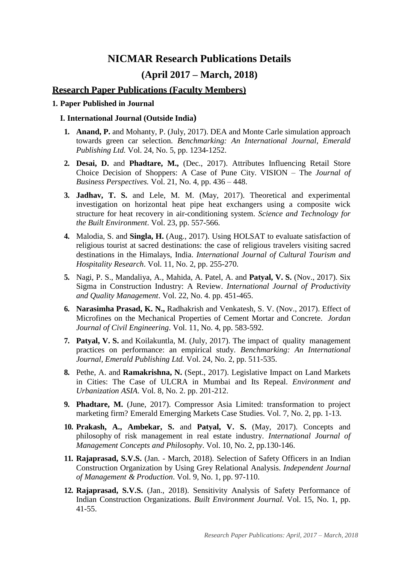# **NICMAR Research Publications Details**

## **(April 2017 – March, 2018)**

### **Research Paper Publications (Faculty Members)**

#### **1. Paper Published in Journal**

#### **I. International Journal (Outside India)**

- **1. Anand, P.** and Mohanty, P. (July, 2017). DEA and Monte Carle simulation approach towards green car selection. *Benchmarking: An International Journal, Emerald Publishing Ltd.* Vol. 24, No. 5, pp. 1234-1252.
- **2. Desai, D.** and **Phadtare, M.,** (Dec., 2017). Attributes Influencing Retail Store Choice Decision of Shoppers: A Case of Pune City. VISION – The *Journal of Business Perspectives.* Vol. 21, No. 4, pp. 436 – 448.
- **3. Jadhav, T. S.** and Lele, M. M. (May, 2017). Theoretical and experimental investigation on horizontal heat pipe heat exchangers using a composite wick structure for heat recovery in air-conditioning system. *Science and Technology for the Built Environment*. Vol. 23, pp. 557-566.
- **4.** Malodia, S. and **Singla, H.** (Aug., 2017). Using HOLSAT to evaluate satisfaction of religious tourist at sacred destinations: the case of religious travelers visiting sacred destinations in the Himalays, India. *International Journal of Cultural Tourism and Hospitality Research*. Vol. 11, No. 2, pp. 255-270.
- **5.** Nagi, P. S., Mandaliya, A., Mahida, A. Patel, A. and **Patyal, V. S.** (Nov., 2017). Six Sigma in Construction Industry: A Review. *International Journal of Productivity and Quality Management*. Vol. 22, No. 4. pp. 451-465.
- **6. Narasimha Prasad, K. N.,** Radhakrish and Venkatesh, S. V. (Nov., 2017). Effect of Microfines on the Mechanical Properties of Cement Mortar and Concrete. *Jordan Journal of Civil Engineering*. Vol. 11, No. 4, pp. 583-592.
- **7. Patyal, V. S.** and Koilakuntla, M. (July, 2017). The impact of quality management practices on performance: an empirical study. *Benchmarking: An International Journal, Emerald Publishing Ltd.* Vol. 24, No. 2, pp. 511-535.
- **8.** Pethe, A. and **Ramakrishna, N.** (Sept., 2017). Legislative Impact on Land Markets in Cities: The Case of ULCRA in Mumbai and Its Repeal. *Environment and Urbanization ASIA*. Vol. 8, No. 2. pp. 201-212.
- **9. Phadtare, M.** (June, 2017). Compressor Asia Limited: transformation to project marketing firm? Emerald Emerging Markets Case Studies. Vol. 7, No. 2, pp. 1-13.
- **10. Prakash, A., Ambekar, S.** and **Patyal, V. S.** (May, 2017). Concepts and philosophy of risk management in real estate industry. *International Journal of Management Concepts and Philosophy*. Vol. 10, No. 2, pp.130-146.
- **11. Rajaprasad, S.V.S.** (Jan. March, 2018). Selection of Safety Officers in an Indian Construction Organization by Using Grey Relational Analysis. *Independent Journal of Management & Production*. Vol. 9, No. 1, pp. 97-110.
- **12. Rajaprasad, S.V.S.** (Jan., 2018). Sensitivity Analysis of Safety Performance of Indian Construction Organizations. *Built Environment Journal.* Vol. 15, No. 1, pp. 41-55.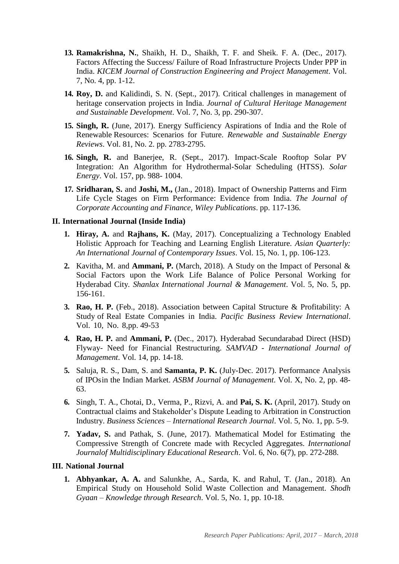- **13. Ramakrishna, N.**, Shaikh, H. D., Shaikh, T. F. and Sheik. F. A. (Dec., 2017). Factors Affecting the Success/ Failure of Road Infrastructure Projects Under PPP in India. *KICEM Journal of Construction Engineering and Project Management*. Vol. 7, No. 4, pp. 1-12.
- **14. Roy, D.** and Kalidindi, S. N. (Sept., 2017). Critical challenges in management of heritage conservation projects in India. *Journal of Cultural Heritage Management and Sustainable Development*. Vol. 7, No. 3, pp. 290-307.
- **15. Singh, R.** (June, 2017). Energy Sufficiency Aspirations of India and the Role of Renewable Resources: Scenarios for Future. *Renewable and Sustainable Energy Reviews*. Vol. 81, No. 2. pp. 2783-2795.
- **16. Singh, R.** and Banerjee, R. (Sept., 2017). Impact-Scale Rooftop Solar PV Integration: An Algorithm for Hydrothermal-Solar Scheduling (HTSS). *Solar Energy*. Vol. 157, pp. 988- 1004.
- **17. Sridharan, S.** and **Joshi, M.,** (Jan., 2018). Impact of Ownership Patterns and Firm Life Cycle Stages on Firm Performance: Evidence from India. *The Journal of Corporate Accounting and Finance, Wiley Publications*. pp. 117-136.

#### **II. International Journal (Inside India)**

- **1. Hiray, A.** and **Rajhans, K.** (May, 2017). Conceptualizing a Technology Enabled Holistic Approach for Teaching and Learning English Literature. *Asian Quarterly: An International Journal of Contemporary Issues*. Vol. 15, No. 1, pp. 106-123.
- **2.** Kavitha, M. and **Ammani, P.** (March, 2018). A Study on the Impact of Personal & Social Factors upon the Work Life Balance of Police Personal Working for Hyderabad City*. Shanlax International Journal & Management*. Vol. 5, No. 5, pp. 156-161.
- **3. Rao, H. P.** (Feb., 2018). Association between Capital Structure & Profitability: A Study of Real Estate Companies in India. *Pacific Business Review International*. Vol. 10, No. 8,pp. 49-53
- **4. Rao, H. P.** and **Ammani, P.** (Dec., 2017). Hyderabad Secundarabad Direct (HSD) Flyway- Need for Financial Restructuring. *SAMVAD - International Journal of Management*. Vol. 14, pp. 14-18.
- **5.** Saluja, R. S., Dam, S. and **Samanta, P. K.** (July-Dec. 2017). Performance Analysis of IPOsin the Indian Market. *ASBM Journal of Management*. Vol. X, No. 2, pp. 48- 63.
- **6.** Singh, T. A., Chotai, D., Verma, P., Rizvi, A. and **Pai, S. K.** (April, 2017). Study on Contractual claims and Stakeholder's Dispute Leading to Arbitration in Construction Industry. *Business Sciences – International Research Journal*. Vol. 5, No. 1, pp. 5-9.
- **7. Yadav, S.** and Pathak, S. (June, 2017). Mathematical Model for Estimating the Compressive Strength of Concrete made with Recycled Aggregates. *International Journalof Multidisciplinary Educational Research*. Vol. 6, No. 6(7), pp. 272-288.

#### **III. National Journal**

**1. Abhyankar, A. A.** and Salunkhe, A., Sarda, K. and Rahul, T. (Jan., 2018). An Empirical Study on Household Solid Waste Collection and Management. *Shodh Gyaan – Knowledge through Research*. Vol. 5, No. 1, pp. 10-18.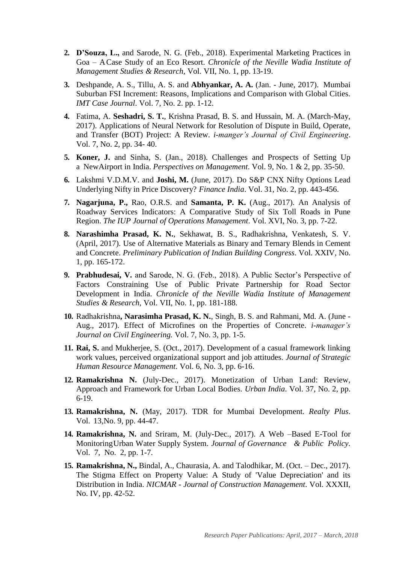- **2. D'Souza, L.,** and Sarode, N. G. (Feb., 2018). Experimental Marketing Practices in Goa – ACase Study of an Eco Resort. *Chronicle of the Neville Wadia Institute of Management Studies & Research,* Vol. VII, No. 1, pp. 13-19.
- **3.** Deshpande, A. S., Tillu, A. S. and **Abhyankar, A. A.** (Jan. June, 2017). Mumbai Suburban FSI Increment: Reasons, Implications and Comparison with Global Cities. *IMT Case Journal*. Vol. 7, No. 2. pp. 1-12.
- **4.** Fatima, A. **Seshadri, S. T.**, Krishna Prasad, B. S. and Hussain, M. A. (March-May, 2017). Applications of Neural Network for Resolution of Dispute in Build, Operate, and Transfer (BOT) Project: A Review. *i-manger's Journal of Civil Engineering*. Vol. 7, No. 2, pp. 34- 40.
- **5. Koner, J.** and Sinha, S. (Jan., 2018). Challenges and Prospects of Setting Up a NewAirport in India. *Perspectives on Management*. Vol. 9, No. 1 & 2, pp. 35-50.
- **6.** Lakshmi V.D.M.V. and **Joshi, M.** (June, 2017). Do S&P CNX Nifty Options Lead Underlying Nifty in Price Discovery? *Finance India*. Vol. 31, No. 2, pp. 443-456.
- **7. Nagarjuna, P.,** Rao, O.R.S. and **Samanta, P. K.** (Aug., 2017). An Analysis of Roadway Services Indicators: A Comparative Study of Six Toll Roads in Pune Region. *The IUP Journal of Operations Management*. Vol. XVI, No. 3, pp. 7-22.
- **8. Narashimha Prasad, K. N.**, Sekhawat, B. S., Radhakrishna, Venkatesh, S. V. (April, 2017). Use of Alternative Materials as Binary and Ternary Blends in Cement and Concrete. *Preliminary Publication of Indian Building Congress*. Vol. XXIV, No. 1, pp. 165-172.
- **9. Prabhudesai, V.** and Sarode, N. G. (Feb., 2018). A Public Sector's Perspective of Factors Constraining Use of Public Private Partnership for Road Sector Development in India. *Chronicle of the Neville Wadia Institute of Management Studies & Research,* Vol. VII, No. 1, pp. 181-188.
- **10.** Radhakrishna**, Narasimha Prasad, K. N.**, Singh, B. S. and Rahmani, Md. A. (June Aug., 2017). Effect of Microfines on the Properties of Concrete. *i-manager's Journal on Civil Engineering.* Vol. 7, No. 3, pp. 1-5.
- **11. Rai, S.** and Mukherjee, S. (Oct., 2017). Development of a casual framework linking work values, perceived organizational support and job attitudes. *Journal of Strategic Human Resource Management*. Vol. 6, No. 3, pp. 6-16.
- **12. Ramakrishna N.** (July-Dec., 2017). Monetization of Urban Land: Review, Approach and Framework for Urban Local Bodies. *Urban India*. Vol. 37, No. 2, pp. 6-19.
- **13. Ramakrishna, N.** (May, 2017). TDR for Mumbai Development. *Realty Plus*. Vol. 13,No. 9, pp. 44-47.
- **14. Ramakrishna, N.** and Sriram, M. (July-Dec., 2017). A Web –Based E-Tool for MonitoringUrban Water Supply System. *Journal of Governance & Public Policy*. Vol. 7, No. 2, pp. 1-7.
- **15. Ramakrishna, N.,** Bindal, A., Chaurasia, A. and Talodhikar, M. (Oct. Dec., 2017). The Stigma Effect on Property Value: A Study of 'Value Depreciation' and its Distribution in India. *NICMAR - Journal of Construction Management*. Vol. XXXII, No. IV, pp. 42-52.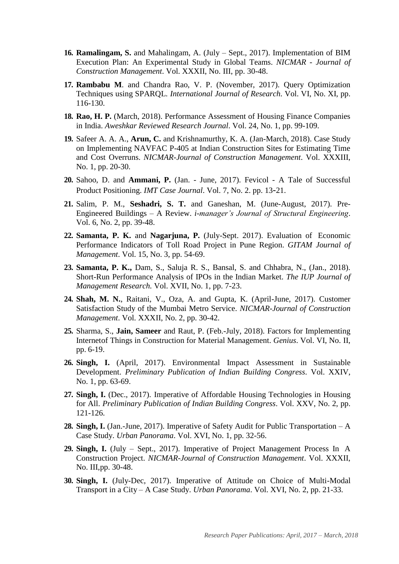- **16. Ramalingam, S.** and Mahalingam, A. (July Sept., 2017). Implementation of BIM Execution Plan: An Experimental Study in Global Teams. *NICMAR - Journal of Construction Management*. Vol. XXXII, No. III, pp. 30-48.
- **17. Rambabu M**. and Chandra Rao, V. P. (November, 2017). Query Optimization Techniques using SPARQL. *International Journal of Research*. Vol. VI, No. XI, pp. 116-130.
- **18. Rao, H. P.** (March, 2018). Performance Assessment of Housing Finance Companies in India. *Aweshkar Reviewed Research Journal*. Vol. 24, No. 1, pp. 99-109.
- **19.** Safeer A. A. A., **Arun, C.** and Krishnamurthy, K. A. (Jan-March, 2018). Case Study on Implementing NAVFAC P-405 at Indian Construction Sites for Estimating Time and Cost Overruns. *NICMAR-Journal of Construction Management*. Vol. XXXIII, No. 1, pp. 20-30.
- **20.** Sahoo, D. and **Ammani, P.** (Jan. June, 2017). Fevicol A Tale of Successful Product Positioning. *IMT Case Journal*. Vol. 7, No. 2. pp. 13-21.
- **21.** Salim, P. M., **Seshadri, S. T.** and Ganeshan, M. (June-August, 2017). Pre-Engineered Buildings – A Review. *i-manager's Journal of Structural Engineering*. Vol. 6, No. 2, pp. 39-48.
- **22. Samanta, P. K.** and **Nagarjuna, P.** (July-Sept. 2017). Evaluation of Economic Performance Indicators of Toll Road Project in Pune Region. *GITAM Journal of Management*. Vol. 15, No. 3, pp. 54-69.
- **23. Samanta, P. K.,** Dam, S., Saluja R. S., Bansal, S. and Chhabra, N., (Jan., 2018). Short-Run Performance Analysis of IPOs in the Indian Market. *The IUP Journal of Management Research.* Vol. XVII, No. 1, pp. 7-23.
- **24. Shah, M. N.**, Raitani, V., Oza, A. and Gupta, K. (April-June, 2017). Customer Satisfaction Study of the Mumbai Metro Service. *NICMAR-Journal of Construction Management*. Vol. XXXII, No. 2, pp. 30-42.
- **25.** Sharma, S., **Jain, Sameer** and Raut, P. (Feb.-July, 2018). Factors for Implementing Internetof Things in Construction for Material Management. *Genius*. Vol. VI, No. II, pp. 6-19.
- **26. Singh, I.** (April, 2017). Environmental Impact Assessment in Sustainable Development. *Preliminary Publication of Indian Building Congress*. Vol. XXIV, No. 1, pp. 63-69.
- **27. Singh, I.** (Dec., 2017). Imperative of Affordable Housing Technologies in Housing for All. *Preliminary Publication of Indian Building Congress*. Vol. XXV, No. 2, pp. 121-126.
- **28. Singh, I.** (Jan.-June, 2017). Imperative of Safety Audit for Public Transportation A Case Study. *Urban Panorama*. Vol. XVI, No. 1, pp. 32-56.
- **29. Singh, I.** (July Sept., 2017). Imperative of Project Management Process In A Construction Project. *NICMAR-Journal of Construction Management*. Vol. XXXII, No. III,pp. 30-48.
- **30. Singh, I.** (July-Dec, 2017). Imperative of Attitude on Choice of Multi-Modal Transport in a City – A Case Study. *Urban Panorama*. Vol. XVI, No. 2, pp. 21-33.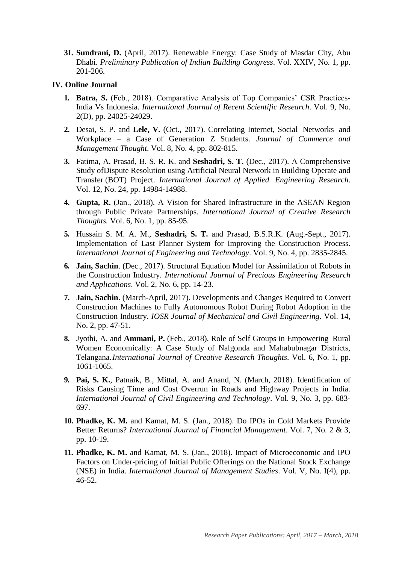**31. Sundrani, D.** (April, 2017). Renewable Energy: Case Study of Masdar City, Abu Dhabi. *Preliminary Publication of Indian Building Congress*. Vol. XXIV, No. 1, pp. 201-206.

#### **IV. Online Journal**

- **1. Batra, S.** (Feb., 2018). Comparative Analysis of Top Companies' CSR Practices-India Vs Indonesia. *International Journal of Recent Scientific Research*. Vol. 9, No. 2(D), pp. 24025-24029.
- **2.** Desai, S. P. and **Lele, V.** (Oct., 2017). Correlating Internet, Social Networks and Workplace – a Case of Generation Z Students. *Journal of Commerce and Management Thought*. Vol. 8, No. 4, pp. 802-815.
- **3.** Fatima, A. Prasad, B. S. R. K. and **Seshadri, S. T.** (Dec., 2017). A Comprehensive Study ofDispute Resolution using Artificial Neural Network in Building Operate and Transfer (BOT) Project. *International Journal of Applied Engineering Research*. Vol. 12, No. 24, pp. 14984-14988.
- **4. Gupta, R.** (Jan., 2018). A Vision for Shared Infrastructure in the ASEAN Region through Public Private Partnerships. *International Journal of Creative Research Thoughts.* Vol. 6, No. 1, pp. 85-95.
- **5.** Hussain S. M. A. M., **Seshadri, S. T.** and Prasad, B.S.R.K. (Aug.-Sept., 2017). Implementation of Last Planner System for Improving the Construction Process. *International Journal of Engineering and Technology*. Vol. 9, No. 4, pp. 2835-2845.
- **6. Jain, Sachin**. (Dec., 2017). Structural Equation Model for Assimilation of Robots in the Construction Industry. *International Journal of Precious Engineering Research and Applications*. Vol. 2, No. 6, pp. 14-23.
- **7. Jain, Sachin**. (March-April, 2017). Developments and Changes Required to Convert Construction Machines to Fully Autonomous Robot During Robot Adoption in the Construction Industry. *IOSR Journal of Mechanical and Civil Engineering*. Vol. 14, No. 2, pp. 47-51.
- **8.** Jyothi, A. and **Ammani, P.** (Feb., 2018). Role of Self Groups in Empowering Rural Women Economically: A Case Study of Nalgonda and Mahabubnagar Districts, Telangana.*International Journal of Creative Research Thoughts*. Vol. 6, No. 1, pp. 1061-1065.
- **9. Pai, S. K.**, Patnaik, B., Mittal, A. and Anand, N. (March, 2018). Identification of Risks Causing Time and Cost Overrun in Roads and Highway Projects in India. *International Journal of Civil Engineering and Technology*. Vol. 9, No. 3, pp. 683- 697.
- **10. Phadke, K. M.** and Kamat, M. S. (Jan., 2018). Do IPOs in Cold Markets Provide Better Returns? *International Journal of Financial Management*. Vol. 7, No. 2 & 3, pp. 10-19.
- **11. Phadke, K. M.** and Kamat, M. S. (Jan., 2018). Impact of Microeconomic and IPO Factors on Under-pricing of Initial Public Offerings on the National Stock Exchange (NSE) in India. *International Journal of Management Studies*. Vol. V, No. I(4), pp. 46-52.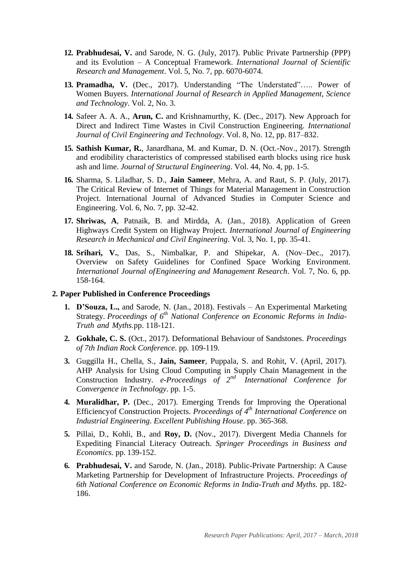- **12. Prabhudesai, V.** and Sarode, N. G. (July, 2017). Public Private Partnership (PPP) and its Evolution – A Conceptual Framework. *International Journal of Scientific Research and Management*. Vol. 5, No. 7, pp. 6070-6074.
- **13. Pramadha, V.** (Dec., 2017). Understanding "The Understated"….. Power of Women Buyers. *International Journal of Research in Applied Management*, *Science and Technology*. Vol. 2, No. 3.
- **14.** Safeer A. A. A., **Arun, C.** and Krishnamurthy, K. (Dec., 2017). New Approach for Direct and Indirect Time Wastes in Civil Construction Engineering. *International Journal of Civil Engineering and Technology*. Vol. 8, No. 12, pp. 817–832.
- **15. Sathish Kumar, R.**, Janardhana, M. and Kumar, D. N. (Oct.-Nov., 2017). Strength and erodibility characteristics of compressed stabilised earth blocks using rice husk ash and lime. *Journal of Structural Engineering*. Vol. 44, No. 4, pp. 1-5.
- **16.** Sharma, S. Liladhar, S. D., **Jain Sameer**, Mehra, A. and Raut, S. P. (July, 2017). The Critical Review of Internet of Things for Material Management in Construction Project. International Journal of Advanced Studies in Computer Science and Engineering. Vol. 6, No. 7, pp. 32-42.
- **17. Shriwas, A**, Patnaik, B. and Mirdda, A. (Jan., 2018). Application of Green Highways Credit System on Highway Project. *International Journal of Engineering Research in Mechanical and Civil Engineering*. Vol. 3, No. 1, pp. 35-41.
- **18. Srihari, V.**, Das, S., Nimbalkar, P. and Shipekar, A. (Nov–Dec., 2017). Overview on Safety Guidelines for Confined Space Working Environment. *International Journal ofEngineering and Management Research*. Vol. 7, No. 6, pp. 158-164.

#### **2. Paper Published in Conference Proceedings**

- **1. D'Souza, L.,** and Sarode, N. (Jan., 2018). Festivals An Experimental Marketing Strategy. *Proceedings of 6 th National Conference on Economic Reforms in India-Truth and Myths.*pp. 118-121.
- **2. Gokhale, C. S.** (Oct., 2017). Deformational Behaviour of Sandstones. *Proceedings of 7th Indian Rock Conference*. pp. 109-119.
- **3.** Guggilla H., Chella, S., **Jain, Sameer**, Puppala, S. and Rohit, V. (April, 2017). AHP Analysis for Using Cloud Computing in Supply Chain Management in the Construction Industry. *e-Proceedings of 2nd International Conference for Convergence in Technology*. pp. 1-5.
- **4. Muralidhar, P.** (Dec., 2017). Emerging Trends for Improving the Operational Efficiencyof Construction Projects. *Proceedings of 4 th International Conference on Industrial Engineering*. *Excellent Publishing House*. pp. 365-368.
- **5.** Pillai, D., Kohli, B., and **Roy, D.** (Nov., 2017). Divergent Media Channels for Expediting Financial Literacy Outreach. *Springer Proceedings in Business and Economics.* pp. 139-152.
- **6. Prabhudesai, V.** and Sarode, N. (Jan., 2018). Public-Private Partnership: A Cause Marketing Partnership for Development of Infrastructure Projects. *Proceedings of 6th National Conference on Economic Reforms in India-Truth and Myths.* pp. 182- 186.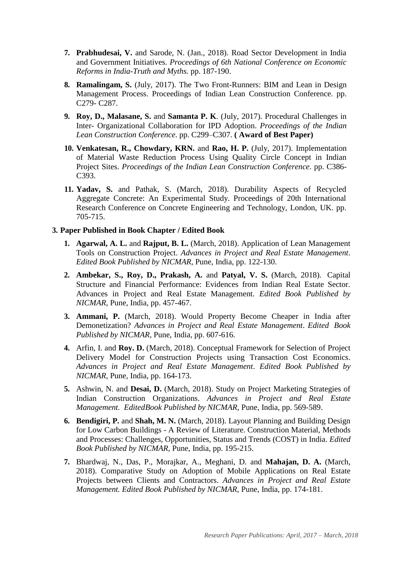- **7. Prabhudesai, V.** and Sarode, N. (Jan., 2018). Road Sector Development in India and Government Initiatives. *Proceedings of 6th National Conference on Economic Reforms in India-Truth and Myths.* pp. 187-190.
- **8. Ramalingam, S.** (July, 2017). The Two Front-Runners: BIM and Lean in Design Management Process. Proceedings of Indian Lean Construction Conference. pp. C279- C287.
- **9. Roy, D., Malasane, S.** and **Samanta P. K**. (July, 2017). Procedural Challenges in Inter- Organizational Collaboration for IPD Adoption. *Proceedings of the Indian Lean Construction Conference*. pp. C299–C307. **( Award of Best Paper)**
- **10. Venkatesan, R., Chowdary, KRN.** and **Rao, H. P.** (July, 2017). Implementation of Material Waste Reduction Process Using Quality Circle Concept in Indian Project Sites. *Proceedings of the Indian Lean Construction Conference*. pp. C386- C<sub>393</sub>.
- **11. Yadav, S.** and Pathak, S. (March, 2018). Durability Aspects of Recycled Aggregate Concrete: An Experimental Study. Proceedings of 20th International Research Conference on Concrete Engineering and Technology, London, UK. pp. 705-715.

#### **3. Paper Published in Book Chapter / Edited Book**

- **1. Agarwal, A. L.** and **Rajput, B. L.** (March, 2018). Application of Lean Management Tools on Construction Project. *Advances in Project and Real Estate Management*. *Edited Book Published by NICMAR*, Pune, India, pp. 122-130.
- **2. Ambekar, S., Roy, D., Prakash, A.** and **Patyal, V. S.** (March, 2018). Capital Structure and Financial Performance: Evidences from Indian Real Estate Sector. Advances in Project and Real Estate Management. *Edited Book Published by NICMAR*, Pune, India, pp. 457-467.
- **3. Ammani, P.** (March, 2018). Would Property Become Cheaper in India after Demonetization? *Advances in Project and Real Estate Management*. *Edited Book Published by NICMAR*, Pune, India, pp. 607-616.
- **4.** Arfin, I. and **Roy. D.** (March, 2018). Conceptual Framework for Selection of Project Delivery Model for Construction Projects using Transaction Cost Economics. *Advances in Project and Real Estate Management*. *Edited Book Published by NICMAR*, Pune, India, pp. 164-173.
- **5.** Ashwin, N. and **Desai, D.** (March, 2018). Study on Project Marketing Strategies of Indian Construction Organizations. *Advances in Project and Real Estate Management. EditedBook Published by NICMAR*, Pune, India, pp. 569-589.
- **6. Bendigiri, P.** and **Shah, M. N.** (March, 2018). Layout Planning and Building Design for Low Carbon Buildings - A Review of Literature. Construction Material, Methods and Processes: Challenges, Opportunities, Status and Trends (COST) in India. *Edited Book Published by NICMAR*, Pune, India, pp. 195-215.
- **7.** Bhardwaj, N., Das, P., Morajkar, A., Meghani, D. and **Mahajan, D. A.** (March, 2018). Comparative Study on Adoption of Mobile Applications on Real Estate Projects between Clients and Contractors. *Advances in Project and Real Estate Management. Edited Book Published by NICMAR*, Pune, India, pp. 174-181.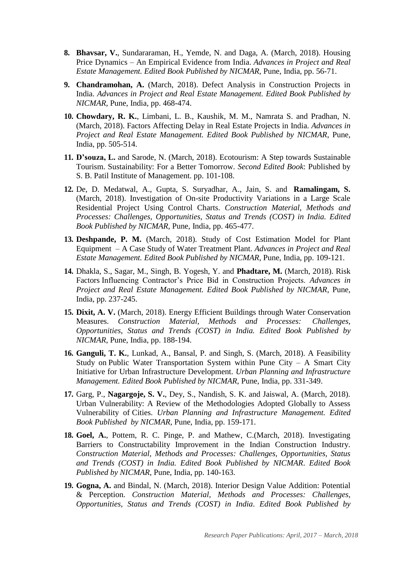- **8. Bhavsar, V.**, Sundararaman, H., Yemde, N. and Daga, A. (March, 2018). Housing Price Dynamics – An Empirical Evidence from India. *Advances in Project and Real Estate Management. Edited Book Published by NICMAR*, Pune, India, pp. 56-71.
- **9. Chandramohan, A.** (March, 2018). Defect Analysis in Construction Projects in India. *Advances in Project and Real Estate Management. Edited Book Published by NICMAR*, Pune, India, pp. 468-474.
- **10. Chowdary, R. K.**, Limbani, L. B., Kaushik, M. M., Namrata S. and Pradhan, N. (March, 2018). Factors Affecting Delay in Real Estate Projects in India. *Advances in Project and Real Estate Management. Edited Book Published by NICMAR*, Pune, India, pp. 505-514.
- **11. D'souza, L.** and Sarode, N. (March, 2018). Ecotourism: A Step towards Sustainable Tourism. Sustainability: For a Better Tomorrow. *Second Edited Book*: Published by S. B. Patil Institute of Management. pp. 101-108.
- **12.** De, D. Medatwal, A., Gupta, S. Suryadhar, A., Jain, S. and **Ramalingam, S.** (March, 2018). Investigation of On-site Productivity Variations in a Large Scale Residential Project Using Control Charts. *Construction Material, Methods and Processes: Challenges, Opportunities, Status and Trends (COST) in India. Edited Book Published by NICMAR*, Pune, India, pp. 465-477.
- **13. Deshpande, P. M.** (March, 2018). Study of Cost Estimation Model for Plant Equipment – A Case Study of Water Treatment Plant. *Advances in Project and Real Estate Management. Edited Book Published by NICMAR*, Pune, India, pp. 109-121.
- **14.** Dhakla, S., Sagar, M., Singh, B. Yogesh, Y. and **Phadtare, M.** (March, 2018). Risk Factors Influencing Contractor's Price Bid in Construction Projects. *Advances in Project and Real Estate Management. Edited Book Published by NICMAR*, Pune, India, pp. 237-245.
- **15. Dixit, A. V.** (March, 2018). Energy Efficient Buildings through Water Conservation Measures. *Construction Material, Methods and Processes: Challenges, Opportunities, Status and Trends (COST) in India. Edited Book Published by NICMAR*, Pune, India, pp. 188-194.
- **16. Ganguli, T. K.**, Lunkad, A., Bansal, P. and Singh, S. (March, 2018). A Feasibility Study on Public Water Transportation System within Pune City  $-$  A Smart City Initiative for Urban Infrastructure Development. *Urban Planning and Infrastructure Management. Edited Book Published by NICMAR*, Pune, India, pp. 331-349.
- **17.** Garg, P., **Nagargoje, S. V.**, Dey, S., Nandish, S. K. and Jaiswal, A. (March, 2018). Urban Vulnerability: A Review of the Methodologies Adopted Globally to Assess Vulnerability of Cities. *Urban Planning and Infrastructure Management. Edited Book Published by NICMAR*, Pune, India, pp. 159-171.
- **18. Goel, A.**, Pottem, R. C. Pinge, P. and Mathew, C.(March, 2018). Investigating Barriers to Constructability Improvement in the Indian Construction Industry. *Construction Material, Methods and Processes: Challenges, Opportunities, Status and Trends (COST) in India. Edited Book Published by NICMAR*. *Edited Book Published by NICMAR*, Pune, India, pp. 140-163.
- **19. Gogna, A.** and Bindal, N. (March, 2018). Interior Design Value Addition: Potential & Perception. *Construction Material, Methods and Processes: Challenges, Opportunities, Status and Trends (COST) in India*. *Edited Book Published by*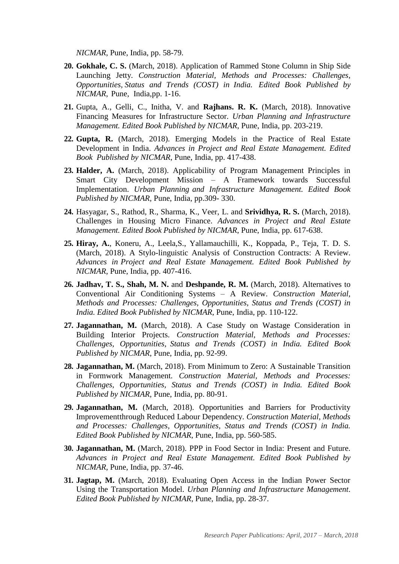*NICMAR*, Pune, India, pp. 58-79.

- **20. Gokhale, C. S.** (March, 2018). Application of Rammed Stone Column in Ship Side Launching Jetty. *Construction Material, Methods and Processes: Challenges, Opportunities, Status and Trends (COST) in India. Edited Book Published by NICMAR*, Pune, India,pp. 1-16.
- **21.** Gupta, A., Gelli, C., Initha, V. and **Rajhans. R. K.** (March, 2018). Innovative Financing Measures for Infrastructure Sector. *Urban Planning and Infrastructure Management. Edited Book Published by NICMAR*, Pune, India, pp. 203-219.
- **22. Gupta, R.** (March, 2018). Emerging Models in the Practice of Real Estate Development in India. *Advances in Project and Real Estate Management. Edited Book Published by NICMAR*, Pune, India, pp. 417-438.
- **23. Halder, A.** (March, 2018). Applicability of Program Management Principles in Smart City Development Mission – A Framework towards Successful Implementation. *Urban Planning and Infrastructure Management. Edited Book Published by NICMAR*, Pune, India, pp.309- 330.
- **24.** Hasyagar, S., Rathod, R., Sharma, K., Veer, L. and **Srividhya, R. S.** (March, 2018). Challenges in Housing Micro Finance. *Advances in Project and Real Estate Management. Edited Book Published by NICMAR*, Pune, India, pp. 617-638.
- **25. Hiray, A.**, Koneru, A., Leela,S., Yallamauchilli, K., Koppada, P., Teja, T. D. S. (March, 2018). A Stylo-linguistic Analysis of Construction Contracts: A Review. *Advances in Project and Real Estate Management. Edited Book Published by NICMAR*, Pune, India, pp. 407-416.
- **26. Jadhav, T. S., Shah, M. N.** and **Deshpande, R. M.** (March, 2018). Alternatives to Conventional Air Conditioning Systems – A Review. *Construction Material, Methods and Processes: Challenges, Opportunities, Status and Trends (COST) in India. Edited Book Published by NICMAR*, Pune, India, pp. 110-122.
- **27. Jagannathan, M.** (March, 2018). A Case Study on Wastage Consideration in Building Interior Projects. *Construction Material, Methods and Processes: Challenges, Opportunities, Status and Trends (COST) in India. Edited Book Published by NICMAR*, Pune, India, pp. 92-99.
- **28. Jagannathan, M.** (March, 2018). From Minimum to Zero: A Sustainable Transition in Formwork Management. *Construction Material, Methods and Processes: Challenges, Opportunities, Status and Trends (COST) in India. Edited Book Published by NICMAR*, Pune, India, pp. 80-91.
- **29. Jagannathan, M.** (March, 2018). Opportunities and Barriers for Productivity Improvementthrough Reduced Labour Dependency. *Construction Material, Methods and Processes: Challenges, Opportunities, Status and Trends (COST) in India. Edited Book Published by NICMAR*, Pune, India, pp. 560-585.
- **30. Jagannathan, M.** (March, 2018). PPP in Food Sector in India: Present and Future. *Advances in Project and Real Estate Management. Edited Book Published by NICMAR*, Pune, India, pp. 37-46.
- **31. Jagtap, M.** (March, 2018). Evaluating Open Access in the Indian Power Sector Using the Transportation Model. *Urban Planning and Infrastructure Management*. *Edited Book Published by NICMAR*, Pune, India, pp. 28-37.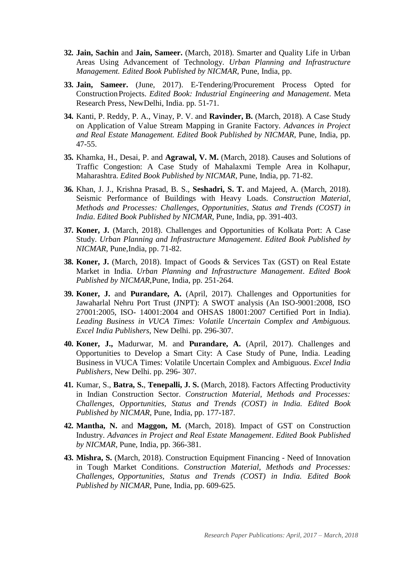- **32. Jain, Sachin** and **Jain, Sameer.** (March, 2018). Smarter and Quality Life in Urban Areas Using Advancement of Technology. *Urban Planning and Infrastructure Management. Edited Book Published by NICMAR*, Pune, India, pp.
- **33. Jain, Sameer.** (June, 2017). E-Tendering/Procurement Process Opted for ConstructionProjects. *Edited Book: Industrial Engineering and Management*. Meta Research Press, NewDelhi, India. pp. 51-71.
- **34.** Kanti, P. Reddy, P. A., Vinay, P. V. and **Ravinder, B.** (March, 2018). A Case Study on Application of Value Stream Mapping in Granite Factory. *Advances in Project and Real Estate Management. Edited Book Published by NICMAR*, Pune, India, pp. 47-55.
- **35.** Khamka, H., Desai, P. and **Agrawal, V. M.** (March, 2018). Causes and Solutions of Traffic Congestion: A Case Study of Mahalaxmi Temple Area in Kolhapur, Maharashtra. *Edited Book Published by NICMAR*, Pune, India, pp. 71-82.
- **36.** Khan, J. J., Krishna Prasad, B. S., **Seshadri, S. T.** and Majeed, A. (March, 2018). Seismic Performance of Buildings with Heavy Loads. *Construction Material, Methods and Processes: Challenges, Opportunities, Status and Trends (COST) in India*. *Edited Book Published by NICMAR*, Pune, India, pp. 391-403.
- **37. Koner, J.** (March, 2018). Challenges and Opportunities of Kolkata Port: A Case Study. *Urban Planning and Infrastructure Management*. *Edited Book Published by NICMAR*, Pune,India, pp. 71-82.
- **38. Koner, J.** (March, 2018). Impact of Goods & Services Tax (GST) on Real Estate Market in India. *Urban Planning and Infrastructure Management*. *Edited Book Published by NICMAR*,Pune, India, pp. 251-264.
- **39. Koner, J.** and **Purandare, A.** (April, 2017). Challenges and Opportunities for Jawaharlal Nehru Port Trust (JNPT): A SWOT analysis (An ISO-9001:2008, ISO 27001:2005, ISO- 14001:2004 and OHSAS 18001:2007 Certified Port in India). *Leading Business in VUCA Times: Volatile Uncertain Complex and Ambiguous. Excel India Publishers*, New Delhi. pp. 296-307.
- **40. Koner, J.,** Madurwar, M. and **Purandare, A.** (April, 2017). Challenges and Opportunities to Develop a Smart City: A Case Study of Pune, India. Leading Business in VUCA Times: Volatile Uncertain Complex and Ambiguous. *Excel India Publishers,* New Delhi. pp. 296- 307.
- **41.** Kumar, S., **Batra, S.**, **Tenepalli, J. S.** (March, 2018). Factors Affecting Productivity in Indian Construction Sector. *Construction Material, Methods and Processes: Challenges, Opportunities, Status and Trends (COST) in India. Edited Book Published by NICMAR*, Pune, India, pp. 177-187.
- **42. Mantha, N.** and **Maggon, M.** (March, 2018). Impact of GST on Construction Industry. *Advances in Project and Real Estate Management*. *Edited Book Published by NICMAR*, Pune, India, pp. 366-381.
- **43. Mishra, S.** (March, 2018). Construction Equipment Financing Need of Innovation in Tough Market Conditions. *Construction Material, Methods and Processes: Challenges, Opportunities, Status and Trends (COST) in India. Edited Book Published by NICMAR*, Pune, India, pp. 609-625.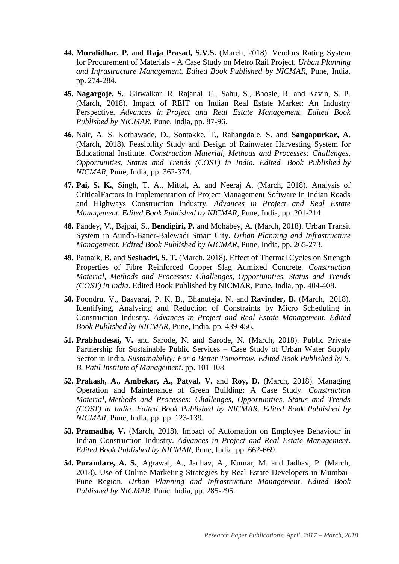- **44. Muralidhar, P.** and **Raja Prasad, S.V.S.** (March, 2018). Vendors Rating System for Procurement of Materials - A Case Study on Metro Rail Project. *Urban Planning and Infrastructure Management. Edited Book Published by NICMAR*, Pune, India, pp. 274-284.
- **45. Nagargoje, S.**, Girwalkar, R. Rajanal, C., Sahu, S., Bhosle, R. and Kavin, S. P. (March, 2018). Impact of REIT on Indian Real Estate Market: An Industry Perspective. *Advances in Project and Real Estate Management. Edited Book Published by NICMAR*, Pune, India, pp. 87-96.
- **46.** Nair, A. S. Kothawade, D., Sontakke, T., Rahangdale, S. and **Sangapurkar, A.**  (March, 2018). Feasibility Study and Design of Rainwater Harvesting System for Educational Institute. *Construction Material, Methods and Processes: Challenges, Opportunities, Status and Trends (COST) in India. Edited Book Published by NICMAR*, Pune, India, pp. 362-374.
- **47. Pai, S. K.**, Singh, T. A., Mittal, A. and Neeraj A. (March, 2018). Analysis of CriticalFactors in Implementation of Project Management Software in Indian Roads and Highways Construction Industry. *Advances in Project and Real Estate Management. Edited Book Published by NICMAR*, Pune, India, pp. 201-214.
- **48.** Pandey, V., Bajpai, S., **Bendigiri, P.** and Mohabey, A. (March, 2018). Urban Transit System in Aundh-Baner-Balewadi Smart City. *Urban Planning and Infrastructure Management. Edited Book Published by NICMAR*, Pune, India, pp. 265-273.
- **49.** Patnaik, B. and **Seshadri, S. T.** (March, 2018). Effect of Thermal Cycles on Strength Properties of Fibre Reinforced Copper Slag Admixed Concrete. *Construction Material, Methods and Processes: Challenges, Opportunities, Status and Trends (COST) in India*. Edited Book Published by NICMAR, Pune, India, pp. 404-408.
- **50.** Poondru, V., Basvaraj, P. K. B., Bhanuteja, N. and **Ravinder, B.** (March, 2018). Identifying, Analysing and Reduction of Constraints by Micro Scheduling in Construction Industry. *Advances in Project and Real Estate Management. Edited Book Published by NICMAR*, Pune, India, pp. 439-456.
- **51. Prabhudesai, V.** and Sarode, N. and Sarode, N. (March, 2018). Public Private Partnership for Sustainable Public Services – Case Study of Urban Water Supply Sector in India. *Sustainability: For a Better Tomorrow. Edited Book Published by S. B. Patil Institute of Management*. pp. 101-108.
- **52. Prakash, A., Ambekar, A., Patyal, V.** and **Roy, D.** (March, 2018). Managing Operation and Maintenance of Green Building: A Case Study. *Construction Material, Methods and Processes: Challenges, Opportunities, Status and Trends (COST) in India. Edited Book Published by NICMAR*. *Edited Book Published by NICMAR*, Pune, India, pp. pp. 123-139.
- **53. Pramadha, V.** (March, 2018). Impact of Automation on Employee Behaviour in Indian Construction Industry. *Advances in Project and Real Estate Management*. *Edited Book Published by NICMAR*, Pune, India, pp. 662-669.
- **54. Purandare, A. S.**, Agrawal, A., Jadhav, A., Kumar, M. and Jadhav, P. (March, 2018). Use of Online Marketing Strategies by Real Estate Developers in Mumbai-Pune Region. *Urban Planning and Infrastructure Management*. *Edited Book Published by NICMAR*, Pune, India, pp. 285-295.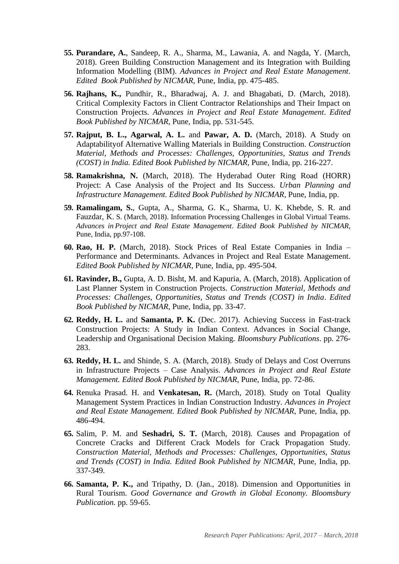- **55. Purandare, A.**, Sandeep, R. A., Sharma, M., Lawania, A. and Nagda, Y. (March, 2018). Green Building Construction Management and its Integration with Building Information Modelling (BIM). *Advances in Project and Real Estate Management*. *Edited Book Published by NICMAR*, Pune, India, pp. 475-485.
- **56. Rajhans, K.,** Pundhir, R., Bharadwaj, A. J. and Bhagabati, D. (March, 2018). Critical Complexity Factors in Client Contractor Relationships and Their Impact on Construction Projects. *Advances in Project and Real Estate Management*. *Edited Book Published by NICMAR*, Pune, India, pp. 531-545.
- **57. Rajput, B. L., Agarwal, A. L.** and **Pawar, A. D.** (March, 2018). A Study on Adaptabilityof Alternative Walling Materials in Building Construction. *Construction Material, Methods and Processes: Challenges, Opportunities, Status and Trends (COST) in India. Edited Book Published by NICMAR*, Pune, India, pp. 216-227.
- **58. Ramakrishna, N.** (March, 2018). The Hyderabad Outer Ring Road (HORR) Project: A Case Analysis of the Project and Its Success. *Urban Planning and Infrastructure Management. Edited Book Published by NICMAR*, Pune, India, pp.
- **59. Ramalingam, S.**, Gupta, A., Sharma, G. K., Sharma, U. K. Khebde, S. R. and Fauzdar, K. S. (March, 2018). Information Processing Challenges in Global Virtual Teams. *Advances in Project and Real Estate Management*. *Edited Book Published by NICMAR*, Pune, India, pp.97-108.
- **60. Rao, H. P.** (March, 2018). Stock Prices of Real Estate Companies in India Performance and Determinants. Advances in Project and Real Estate Management. *Edited Book Published by NICMAR*, Pune, India, pp. 495-504.
- **61. Ravinder, B.,** Gupta, A. D. Bisht, M. and Kapuria, A. (March, 2018). Application of Last Planner System in Construction Projects. *Construction Material, Methods and Processes: Challenges, Opportunities, Status and Trends (COST) in India*. *Edited Book Published by NICMAR*, Pune, India, pp. 33-47.
- **62. Reddy, H. L.** and **Samanta, P. K.** (Dec. 2017). Achieving Success in Fast-track Construction Projects: A Study in Indian Context. Advances in Social Change, Leadership and Organisational Decision Making. *Bloomsbury Publications*. pp. 276- 283.
- **63. Reddy, H. L.** and Shinde, S. A. (March, 2018). Study of Delays and Cost Overruns in Infrastructure Projects – Case Analysis. *Advances in Project and Real Estate Management. Edited Book Published by NICMAR*, Pune, India, pp. 72-86.
- **64.** Renuka Prasad. H. and **Venkatesan, R.** (March, 2018). Study on Total Quality Management System Practices in Indian Construction Industry. *Advances in Project and Real Estate Management. Edited Book Published by NICMAR*, Pune, India, pp. 486-494.
- **65.** Salim, P. M. and **Seshadri, S. T.** (March, 2018). Causes and Propagation of Concrete Cracks and Different Crack Models for Crack Propagation Study. *Construction Material, Methods and Processes: Challenges, Opportunities, Status and Trends (COST) in India. Edited Book Published by NICMAR*, Pune, India, pp. 337-349.
- **66. Samanta, P. K.,** and Tripathy, D. (Jan., 2018). Dimension and Opportunities in Rural Tourism. *Good Governance and Growth in Global Economy. Bloomsbury Publication.* pp. 59-65.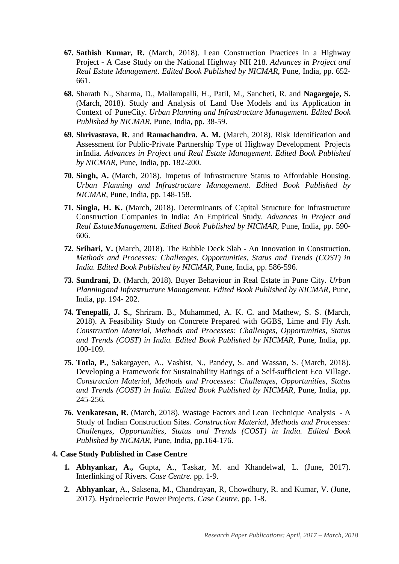- **67. Sathish Kumar, R.** (March, 2018). Lean Construction Practices in a Highway Project - A Case Study on the National Highway NH 218. *Advances in Project and Real Estate Management*. *Edited Book Published by NICMAR*, Pune, India, pp. 652- 661.
- **68.** Sharath N., Sharma, D., Mallampalli, H., Patil, M., Sancheti, R. and **Nagargoje, S.**  (March, 2018). Study and Analysis of Land Use Models and its Application in Context of PuneCity. *Urban Planning and Infrastructure Management. Edited Book Published by NICMAR*, Pune, India, pp. 38-59.
- **69. Shrivastava, R.** and **Ramachandra. A. M.** (March, 2018). Risk Identification and Assessment for Public-Private Partnership Type of Highway Development Projects inIndia. *Advances in Project and Real Estate Management. Edited Book Published by NICMAR*, Pune, India, pp. 182-200.
- **70. Singh, A.** (March, 2018). Impetus of Infrastructure Status to Affordable Housing. *Urban Planning and Infrastructure Management. Edited Book Published by NICMAR*, Pune, India, pp. 148-158.
- **71. Singla, H. K.** (March, 2018). Determinants of Capital Structure for Infrastructure Construction Companies in India: An Empirical Study. *Advances in Project and Real EstateManagement. Edited Book Published by NICMAR*, Pune, India, pp. 590- 606.
- **72. Srihari, V.** (March, 2018). The Bubble Deck Slab An Innovation in Construction. *Methods and Processes: Challenges, Opportunities, Status and Trends (COST) in India. Edited Book Published by NICMAR*, Pune, India, pp. 586-596.
- **73. Sundrani, D.** (March, 2018). Buyer Behaviour in Real Estate in Pune City. *Urban Planningand Infrastructure Management. Edited Book Published by NICMAR*, Pune, India, pp. 194- 202.
- **74. Tenepalli, J. S.**, Shriram. B., Muhammed, A. K. C. and Mathew, S. S. (March, 2018). A Feasibility Study on Concrete Prepared with GGBS, Lime and Fly Ash. *Construction Material, Methods and Processes: Challenges, Opportunities, Status and Trends (COST) in India. Edited Book Published by NICMAR*, Pune, India, pp. 100-109.
- **75. Totla, P.**, Sakargayen, A., Vashist, N., Pandey, S. and Wassan, S. (March, 2018). Developing a Framework for Sustainability Ratings of a Self-sufficient Eco Village. *Construction Material, Methods and Processes: Challenges, Opportunities, Status and Trends (COST) in India. Edited Book Published by NICMAR*, Pune, India, pp. 245-256.
- **76. Venkatesan, R.** (March, 2018). Wastage Factors and Lean Technique Analysis A Study of Indian Construction Sites. *Construction Material, Methods and Processes: Challenges, Opportunities, Status and Trends (COST) in India. Edited Book Published by NICMAR*, Pune, India, pp.164-176.

#### **4. Case Study Published in Case Centre**

- **1. Abhyankar, A.,** Gupta, A., Taskar, M. and Khandelwal, L. (June, 2017). Interlinking of Rivers*. Case Centre.* pp. 1-9.
- **2. Abhyankar,** A., Saksena, M., Chandrayan, R, Chowdhury, R. and Kumar, V. (June, 2017). Hydroelectric Power Projects. *Case Centre.* pp. 1-8.